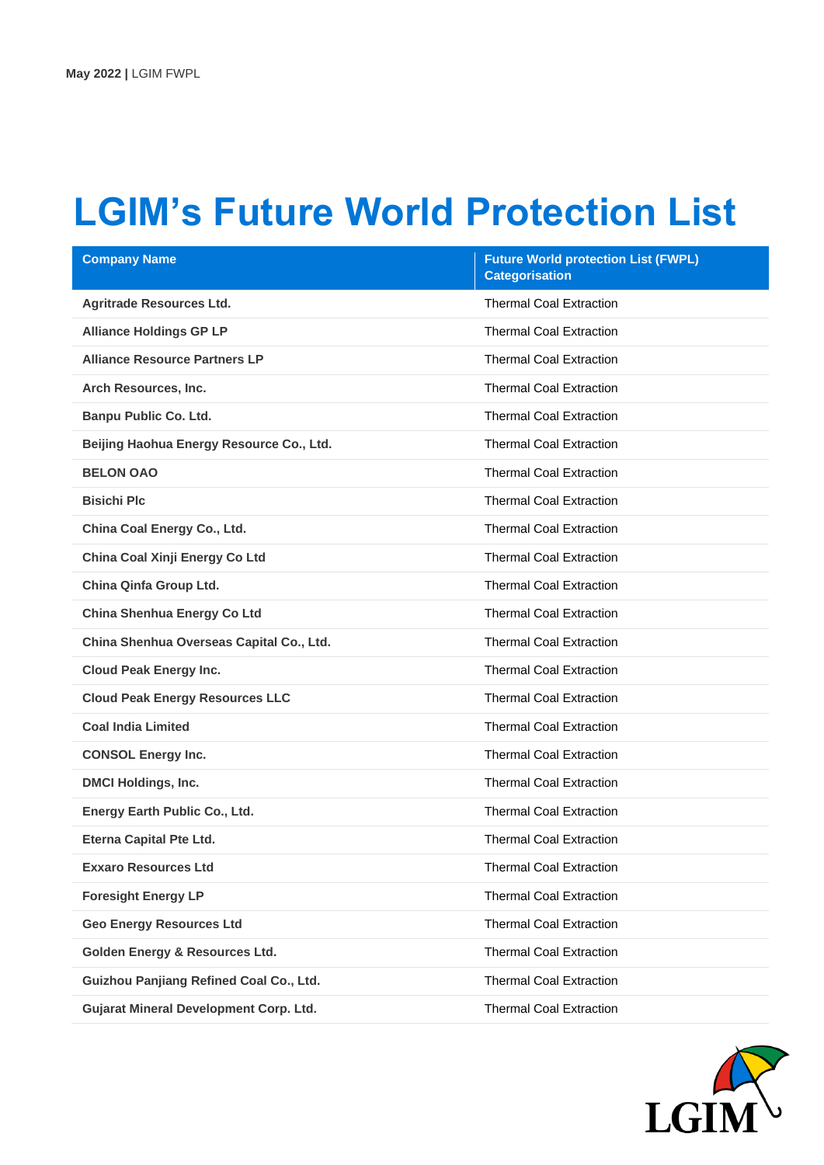## **LGIM's Future World Protection List**

| <b>Company Name</b>                           | <b>Future World protection List (FWPL)</b><br><b>Categorisation</b> |
|-----------------------------------------------|---------------------------------------------------------------------|
| <b>Agritrade Resources Ltd.</b>               | <b>Thermal Coal Extraction</b>                                      |
| <b>Alliance Holdings GP LP</b>                | <b>Thermal Coal Extraction</b>                                      |
| <b>Alliance Resource Partners LP</b>          | <b>Thermal Coal Extraction</b>                                      |
| Arch Resources, Inc.                          | <b>Thermal Coal Extraction</b>                                      |
| <b>Banpu Public Co. Ltd.</b>                  | <b>Thermal Coal Extraction</b>                                      |
| Beijing Haohua Energy Resource Co., Ltd.      | <b>Thermal Coal Extraction</b>                                      |
| <b>BELON OAO</b>                              | <b>Thermal Coal Extraction</b>                                      |
| <b>Bisichi Plc</b>                            | <b>Thermal Coal Extraction</b>                                      |
| China Coal Energy Co., Ltd.                   | <b>Thermal Coal Extraction</b>                                      |
| China Coal Xinji Energy Co Ltd                | <b>Thermal Coal Extraction</b>                                      |
| China Qinfa Group Ltd.                        | <b>Thermal Coal Extraction</b>                                      |
| China Shenhua Energy Co Ltd                   | <b>Thermal Coal Extraction</b>                                      |
| China Shenhua Overseas Capital Co., Ltd.      | <b>Thermal Coal Extraction</b>                                      |
| <b>Cloud Peak Energy Inc.</b>                 | <b>Thermal Coal Extraction</b>                                      |
| <b>Cloud Peak Energy Resources LLC</b>        | <b>Thermal Coal Extraction</b>                                      |
| <b>Coal India Limited</b>                     | <b>Thermal Coal Extraction</b>                                      |
| <b>CONSOL Energy Inc.</b>                     | <b>Thermal Coal Extraction</b>                                      |
| <b>DMCI Holdings, Inc.</b>                    | <b>Thermal Coal Extraction</b>                                      |
| Energy Earth Public Co., Ltd.                 | <b>Thermal Coal Extraction</b>                                      |
| <b>Eterna Capital Pte Ltd.</b>                | <b>Thermal Coal Extraction</b>                                      |
| <b>Exxaro Resources Ltd</b>                   | <b>Thermal Coal Extraction</b>                                      |
| <b>Foresight Energy LP</b>                    | <b>Thermal Coal Extraction</b>                                      |
| <b>Geo Energy Resources Ltd</b>               | <b>Thermal Coal Extraction</b>                                      |
| <b>Golden Energy &amp; Resources Ltd.</b>     | <b>Thermal Coal Extraction</b>                                      |
| Guizhou Panjiang Refined Coal Co., Ltd.       | <b>Thermal Coal Extraction</b>                                      |
| <b>Gujarat Mineral Development Corp. Ltd.</b> | <b>Thermal Coal Extraction</b>                                      |

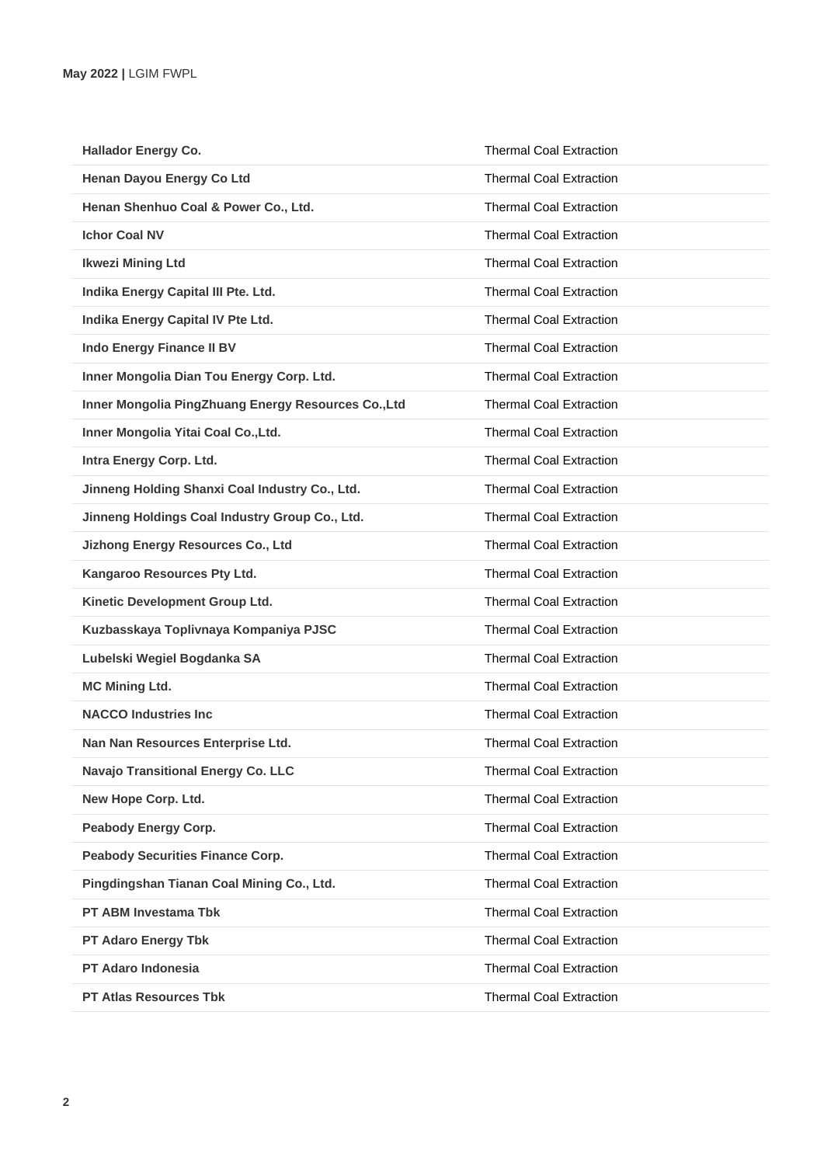| <b>Hallador Energy Co.</b>                          | <b>Thermal Coal Extraction</b> |
|-----------------------------------------------------|--------------------------------|
| Henan Dayou Energy Co Ltd                           | <b>Thermal Coal Extraction</b> |
| Henan Shenhuo Coal & Power Co., Ltd.                | <b>Thermal Coal Extraction</b> |
| <b>Ichor Coal NV</b>                                | <b>Thermal Coal Extraction</b> |
| <b>Ikwezi Mining Ltd</b>                            | <b>Thermal Coal Extraction</b> |
| Indika Energy Capital III Pte. Ltd.                 | <b>Thermal Coal Extraction</b> |
| Indika Energy Capital IV Pte Ltd.                   | <b>Thermal Coal Extraction</b> |
| <b>Indo Energy Finance II BV</b>                    | <b>Thermal Coal Extraction</b> |
| Inner Mongolia Dian Tou Energy Corp. Ltd.           | <b>Thermal Coal Extraction</b> |
| Inner Mongolia PingZhuang Energy Resources Co., Ltd | <b>Thermal Coal Extraction</b> |
| Inner Mongolia Yitai Coal Co., Ltd.                 | <b>Thermal Coal Extraction</b> |
| Intra Energy Corp. Ltd.                             | <b>Thermal Coal Extraction</b> |
| Jinneng Holding Shanxi Coal Industry Co., Ltd.      | <b>Thermal Coal Extraction</b> |
| Jinneng Holdings Coal Industry Group Co., Ltd.      | <b>Thermal Coal Extraction</b> |
| <b>Jizhong Energy Resources Co., Ltd</b>            | <b>Thermal Coal Extraction</b> |
| Kangaroo Resources Pty Ltd.                         | <b>Thermal Coal Extraction</b> |
| Kinetic Development Group Ltd.                      | <b>Thermal Coal Extraction</b> |
| Kuzbasskaya Toplivnaya Kompaniya PJSC               | <b>Thermal Coal Extraction</b> |
| Lubelski Wegiel Bogdanka SA                         | <b>Thermal Coal Extraction</b> |
| <b>MC Mining Ltd.</b>                               | <b>Thermal Coal Extraction</b> |
| <b>NACCO Industries Inc.</b>                        | <b>Thermal Coal Extraction</b> |
| Nan Nan Resources Enterprise Ltd.                   | <b>Thermal Coal Extraction</b> |
| Navajo Transitional Energy Co. LLC                  | <b>Thermal Coal Extraction</b> |
| New Hope Corp. Ltd.                                 | <b>Thermal Coal Extraction</b> |
| Peabody Energy Corp.                                | <b>Thermal Coal Extraction</b> |
| <b>Peabody Securities Finance Corp.</b>             | <b>Thermal Coal Extraction</b> |
| Pingdingshan Tianan Coal Mining Co., Ltd.           | <b>Thermal Coal Extraction</b> |
| PT ABM Investama Tbk                                | <b>Thermal Coal Extraction</b> |
| <b>PT Adaro Energy Tbk</b>                          | <b>Thermal Coal Extraction</b> |
| PT Adaro Indonesia                                  | <b>Thermal Coal Extraction</b> |
| <b>PT Atlas Resources Tbk</b>                       | <b>Thermal Coal Extraction</b> |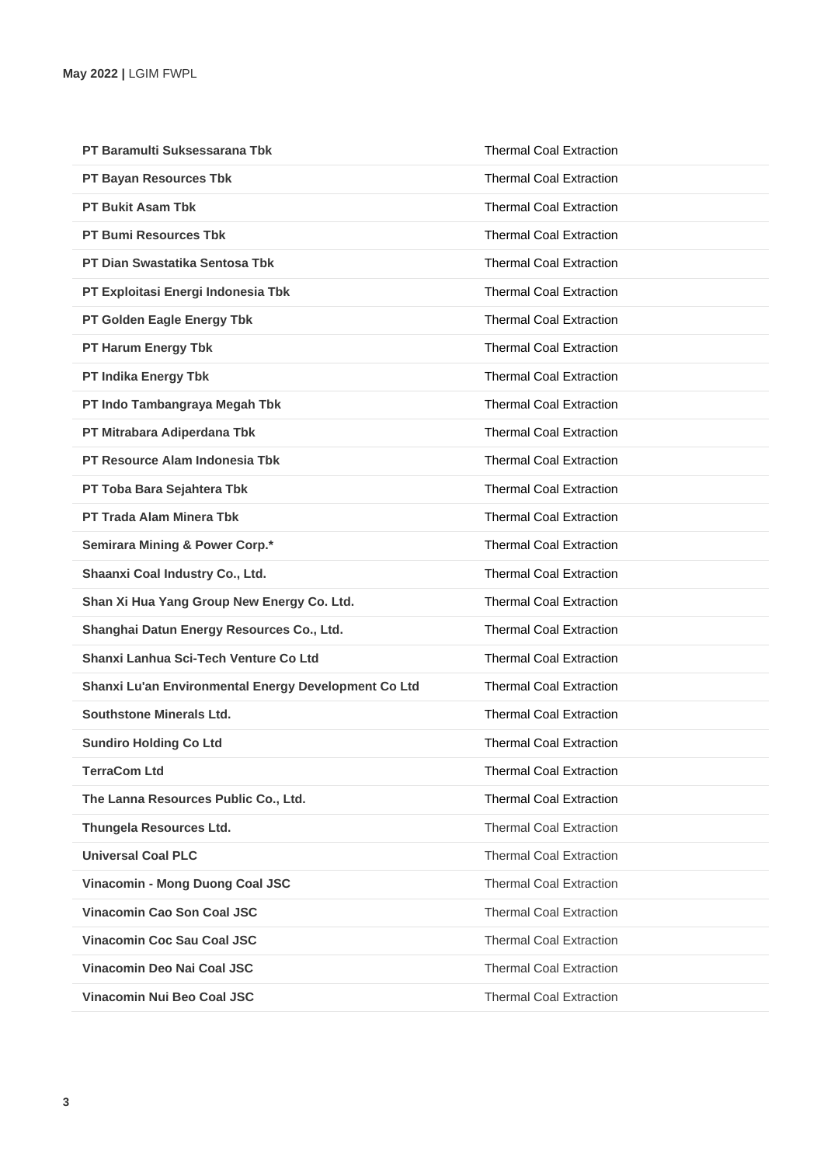| PT Baramulti Suksessarana Tbk                        | <b>Thermal Coal Extraction</b> |
|------------------------------------------------------|--------------------------------|
| PT Bayan Resources Tbk                               | <b>Thermal Coal Extraction</b> |
| <b>PT Bukit Asam Tbk</b>                             | <b>Thermal Coal Extraction</b> |
| <b>PT Bumi Resources Tbk</b>                         | Thermal Coal Extraction        |
| <b>PT Dian Swastatika Sentosa Tbk</b>                | <b>Thermal Coal Extraction</b> |
| PT Exploitasi Energi Indonesia Tbk                   | <b>Thermal Coal Extraction</b> |
| PT Golden Eagle Energy Tbk                           | <b>Thermal Coal Extraction</b> |
| PT Harum Energy Tbk                                  | <b>Thermal Coal Extraction</b> |
| PT Indika Energy Tbk                                 | <b>Thermal Coal Extraction</b> |
| PT Indo Tambangraya Megah Tbk                        | <b>Thermal Coal Extraction</b> |
| PT Mitrabara Adiperdana Tbk                          | <b>Thermal Coal Extraction</b> |
| PT Resource Alam Indonesia Tbk                       | <b>Thermal Coal Extraction</b> |
| PT Toba Bara Sejahtera Tbk                           | <b>Thermal Coal Extraction</b> |
| <b>PT Trada Alam Minera Tbk</b>                      | <b>Thermal Coal Extraction</b> |
| Semirara Mining & Power Corp.*                       | <b>Thermal Coal Extraction</b> |
| Shaanxi Coal Industry Co., Ltd.                      | <b>Thermal Coal Extraction</b> |
| Shan Xi Hua Yang Group New Energy Co. Ltd.           | <b>Thermal Coal Extraction</b> |
| Shanghai Datun Energy Resources Co., Ltd.            | <b>Thermal Coal Extraction</b> |
| Shanxi Lanhua Sci-Tech Venture Co Ltd                | <b>Thermal Coal Extraction</b> |
| Shanxi Lu'an Environmental Energy Development Co Ltd | <b>Thermal Coal Extraction</b> |
| Southstone Minerals Ltd.                             | <b>Thermal Coal Extraction</b> |
| <b>Sundiro Holding Co Ltd</b>                        | <b>Thermal Coal Extraction</b> |
| <b>TerraCom Ltd</b>                                  | <b>Thermal Coal Extraction</b> |
| The Lanna Resources Public Co., Ltd.                 | <b>Thermal Coal Extraction</b> |
| Thungela Resources Ltd.                              | <b>Thermal Coal Extraction</b> |
| <b>Universal Coal PLC</b>                            | <b>Thermal Coal Extraction</b> |
| Vinacomin - Mong Duong Coal JSC                      | <b>Thermal Coal Extraction</b> |
| Vinacomin Cao Son Coal JSC                           | <b>Thermal Coal Extraction</b> |
| <b>Vinacomin Coc Sau Coal JSC</b>                    | <b>Thermal Coal Extraction</b> |
| Vinacomin Deo Nai Coal JSC                           | <b>Thermal Coal Extraction</b> |
| Vinacomin Nui Beo Coal JSC                           | <b>Thermal Coal Extraction</b> |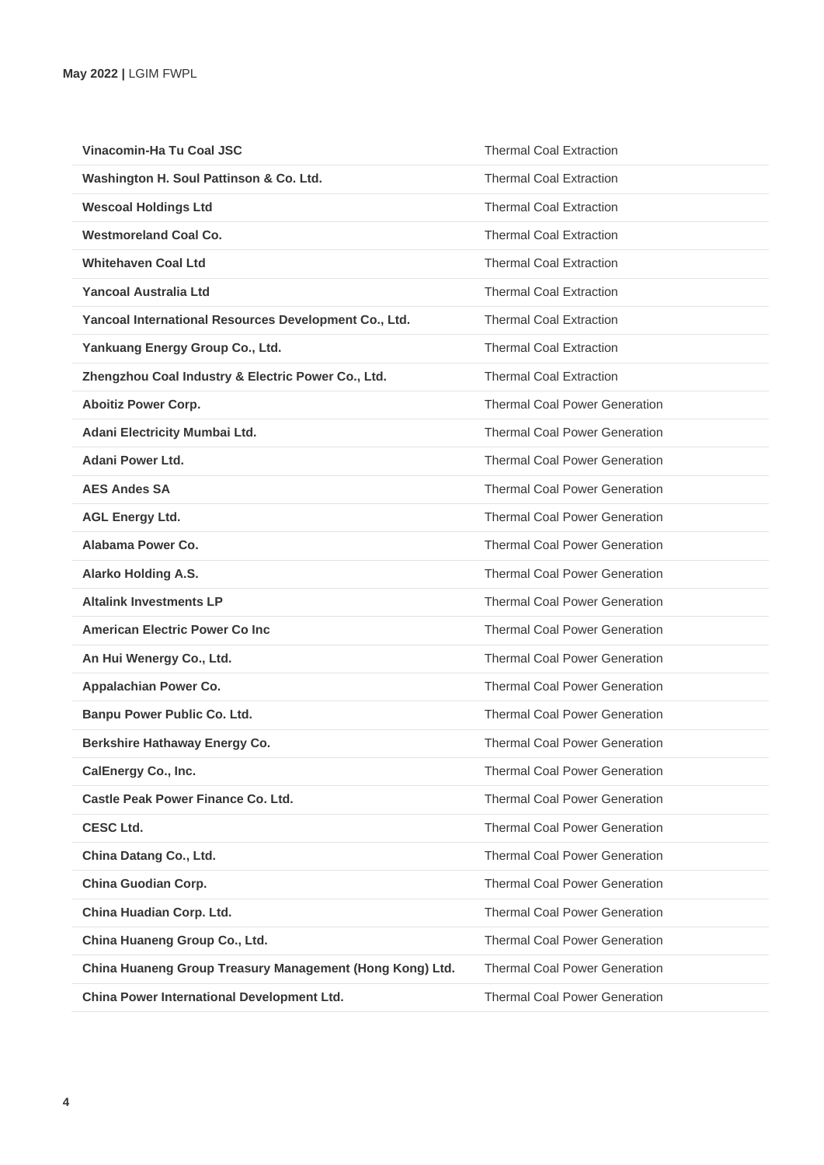| Vinacomin-Ha Tu Coal JSC                                 | <b>Thermal Coal Extraction</b>       |
|----------------------------------------------------------|--------------------------------------|
| Washington H. Soul Pattinson & Co. Ltd.                  | <b>Thermal Coal Extraction</b>       |
| <b>Wescoal Holdings Ltd</b>                              | <b>Thermal Coal Extraction</b>       |
| <b>Westmoreland Coal Co.</b>                             | <b>Thermal Coal Extraction</b>       |
| <b>Whitehaven Coal Ltd</b>                               | <b>Thermal Coal Extraction</b>       |
| Yancoal Australia Ltd                                    | <b>Thermal Coal Extraction</b>       |
| Yancoal International Resources Development Co., Ltd.    | <b>Thermal Coal Extraction</b>       |
| Yankuang Energy Group Co., Ltd.                          | <b>Thermal Coal Extraction</b>       |
| Zhengzhou Coal Industry & Electric Power Co., Ltd.       | <b>Thermal Coal Extraction</b>       |
| <b>Aboitiz Power Corp.</b>                               | <b>Thermal Coal Power Generation</b> |
| Adani Electricity Mumbai Ltd.                            | <b>Thermal Coal Power Generation</b> |
| Adani Power Ltd.                                         | <b>Thermal Coal Power Generation</b> |
| <b>AES Andes SA</b>                                      | <b>Thermal Coal Power Generation</b> |
| <b>AGL Energy Ltd.</b>                                   | <b>Thermal Coal Power Generation</b> |
| Alabama Power Co.                                        | <b>Thermal Coal Power Generation</b> |
| <b>Alarko Holding A.S.</b>                               | <b>Thermal Coal Power Generation</b> |
| <b>Altalink Investments LP</b>                           | <b>Thermal Coal Power Generation</b> |
| <b>American Electric Power Co Inc.</b>                   | <b>Thermal Coal Power Generation</b> |
| An Hui Wenergy Co., Ltd.                                 | <b>Thermal Coal Power Generation</b> |
| Appalachian Power Co.                                    | <b>Thermal Coal Power Generation</b> |
| Banpu Power Public Co. Ltd.                              | <b>Thermal Coal Power Generation</b> |
| Berkshire Hathaway Energy Co.                            | <b>Thermal Coal Power Generation</b> |
| <b>CalEnergy Co., Inc.</b>                               | <b>Thermal Coal Power Generation</b> |
| <b>Castle Peak Power Finance Co. Ltd.</b>                | <b>Thermal Coal Power Generation</b> |
| <b>CESC Ltd.</b>                                         | <b>Thermal Coal Power Generation</b> |
| China Datang Co., Ltd.                                   | <b>Thermal Coal Power Generation</b> |
| China Guodian Corp.                                      | <b>Thermal Coal Power Generation</b> |
| China Huadian Corp. Ltd.                                 | <b>Thermal Coal Power Generation</b> |
| China Huaneng Group Co., Ltd.                            | <b>Thermal Coal Power Generation</b> |
| China Huaneng Group Treasury Management (Hong Kong) Ltd. | <b>Thermal Coal Power Generation</b> |
| China Power International Development Ltd.               | <b>Thermal Coal Power Generation</b> |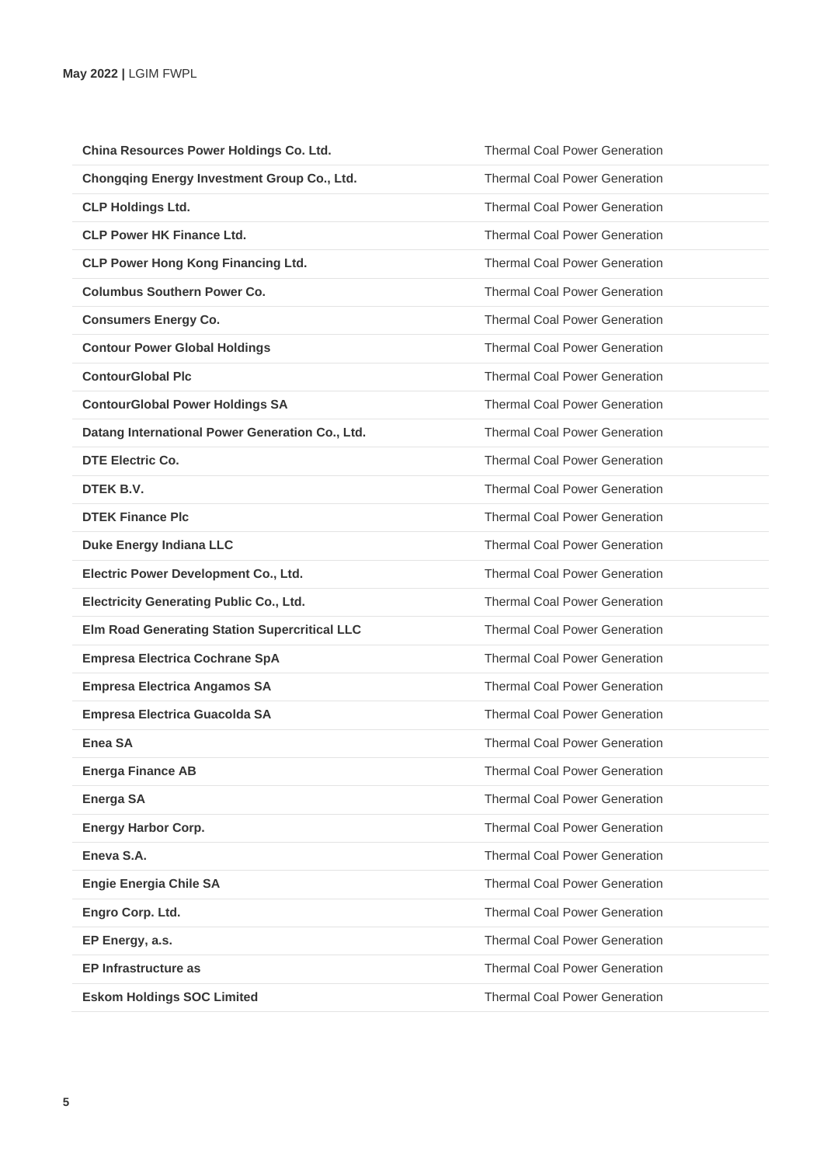| China Resources Power Holdings Co. Ltd.              | <b>Thermal Coal Power Generation</b> |
|------------------------------------------------------|--------------------------------------|
| <b>Chongqing Energy Investment Group Co., Ltd.</b>   | <b>Thermal Coal Power Generation</b> |
| <b>CLP Holdings Ltd.</b>                             | <b>Thermal Coal Power Generation</b> |
| <b>CLP Power HK Finance Ltd.</b>                     | <b>Thermal Coal Power Generation</b> |
| <b>CLP Power Hong Kong Financing Ltd.</b>            | <b>Thermal Coal Power Generation</b> |
| <b>Columbus Southern Power Co.</b>                   | <b>Thermal Coal Power Generation</b> |
| <b>Consumers Energy Co.</b>                          | <b>Thermal Coal Power Generation</b> |
| <b>Contour Power Global Holdings</b>                 | <b>Thermal Coal Power Generation</b> |
| <b>ContourGlobal Plc</b>                             | <b>Thermal Coal Power Generation</b> |
| <b>ContourGlobal Power Holdings SA</b>               | <b>Thermal Coal Power Generation</b> |
| Datang International Power Generation Co., Ltd.      | <b>Thermal Coal Power Generation</b> |
| <b>DTE Electric Co.</b>                              | <b>Thermal Coal Power Generation</b> |
| DTEK B.V.                                            | <b>Thermal Coal Power Generation</b> |
| <b>DTEK Finance Plc</b>                              | <b>Thermal Coal Power Generation</b> |
| <b>Duke Energy Indiana LLC</b>                       | <b>Thermal Coal Power Generation</b> |
| Electric Power Development Co., Ltd.                 | <b>Thermal Coal Power Generation</b> |
| <b>Electricity Generating Public Co., Ltd.</b>       | <b>Thermal Coal Power Generation</b> |
| <b>Elm Road Generating Station Supercritical LLC</b> | <b>Thermal Coal Power Generation</b> |
| <b>Empresa Electrica Cochrane SpA</b>                | <b>Thermal Coal Power Generation</b> |
| <b>Empresa Electrica Angamos SA</b>                  | <b>Thermal Coal Power Generation</b> |
| <b>Empresa Electrica Guacolda SA</b>                 | <b>Thermal Coal Power Generation</b> |
| Enea SA                                              | <b>Thermal Coal Power Generation</b> |
| <b>Energa Finance AB</b>                             | <b>Thermal Coal Power Generation</b> |
| <b>Energa SA</b>                                     | <b>Thermal Coal Power Generation</b> |
| <b>Energy Harbor Corp.</b>                           | <b>Thermal Coal Power Generation</b> |
| Eneva S.A.                                           | <b>Thermal Coal Power Generation</b> |
| <b>Engie Energia Chile SA</b>                        | <b>Thermal Coal Power Generation</b> |
| Engro Corp. Ltd.                                     | <b>Thermal Coal Power Generation</b> |
| EP Energy, a.s.                                      | <b>Thermal Coal Power Generation</b> |
| <b>EP Infrastructure as</b>                          | <b>Thermal Coal Power Generation</b> |
| <b>Eskom Holdings SOC Limited</b>                    | <b>Thermal Coal Power Generation</b> |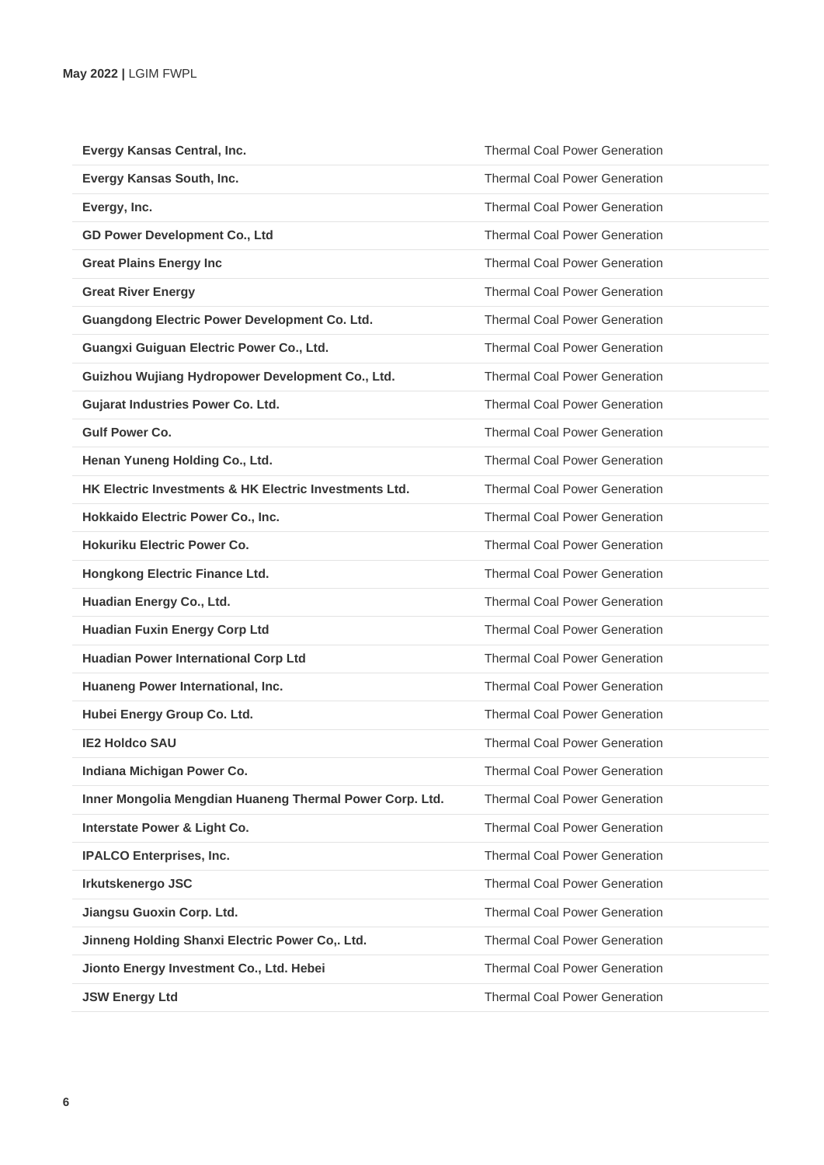| Evergy Kansas Central, Inc.                              | <b>Thermal Coal Power Generation</b> |
|----------------------------------------------------------|--------------------------------------|
| Evergy Kansas South, Inc.                                | <b>Thermal Coal Power Generation</b> |
| Evergy, Inc.                                             | <b>Thermal Coal Power Generation</b> |
| <b>GD Power Development Co., Ltd</b>                     | <b>Thermal Coal Power Generation</b> |
| <b>Great Plains Energy Inc</b>                           | <b>Thermal Coal Power Generation</b> |
| <b>Great River Energy</b>                                | <b>Thermal Coal Power Generation</b> |
| <b>Guangdong Electric Power Development Co. Ltd.</b>     | <b>Thermal Coal Power Generation</b> |
| Guangxi Guiguan Electric Power Co., Ltd.                 | <b>Thermal Coal Power Generation</b> |
| Guizhou Wujiang Hydropower Development Co., Ltd.         | <b>Thermal Coal Power Generation</b> |
| <b>Gujarat Industries Power Co. Ltd.</b>                 | <b>Thermal Coal Power Generation</b> |
| <b>Gulf Power Co.</b>                                    | <b>Thermal Coal Power Generation</b> |
| Henan Yuneng Holding Co., Ltd.                           | <b>Thermal Coal Power Generation</b> |
| HK Electric Investments & HK Electric Investments Ltd.   | <b>Thermal Coal Power Generation</b> |
| Hokkaido Electric Power Co., Inc.                        | <b>Thermal Coal Power Generation</b> |
| <b>Hokuriku Electric Power Co.</b>                       | <b>Thermal Coal Power Generation</b> |
| Hongkong Electric Finance Ltd.                           | <b>Thermal Coal Power Generation</b> |
| Huadian Energy Co., Ltd.                                 | <b>Thermal Coal Power Generation</b> |
| <b>Huadian Fuxin Energy Corp Ltd</b>                     | <b>Thermal Coal Power Generation</b> |
| Huadian Power International Corp Ltd                     | <b>Thermal Coal Power Generation</b> |
| Huaneng Power International, Inc.                        | <b>Thermal Coal Power Generation</b> |
| Hubei Energy Group Co. Ltd.                              | <b>Thermal Coal Power Generation</b> |
| <b>IE2 Holdco SAU</b>                                    | <b>Thermal Coal Power Generation</b> |
| Indiana Michigan Power Co.                               | <b>Thermal Coal Power Generation</b> |
| Inner Mongolia Mengdian Huaneng Thermal Power Corp. Ltd. | <b>Thermal Coal Power Generation</b> |
| Interstate Power & Light Co.                             | <b>Thermal Coal Power Generation</b> |
| <b>IPALCO Enterprises, Inc.</b>                          | <b>Thermal Coal Power Generation</b> |
| Irkutskenergo JSC                                        | <b>Thermal Coal Power Generation</b> |
| Jiangsu Guoxin Corp. Ltd.                                | <b>Thermal Coal Power Generation</b> |
| Jinneng Holding Shanxi Electric Power Co,. Ltd.          | <b>Thermal Coal Power Generation</b> |
| Jionto Energy Investment Co., Ltd. Hebei                 | <b>Thermal Coal Power Generation</b> |
| <b>JSW Energy Ltd</b>                                    | <b>Thermal Coal Power Generation</b> |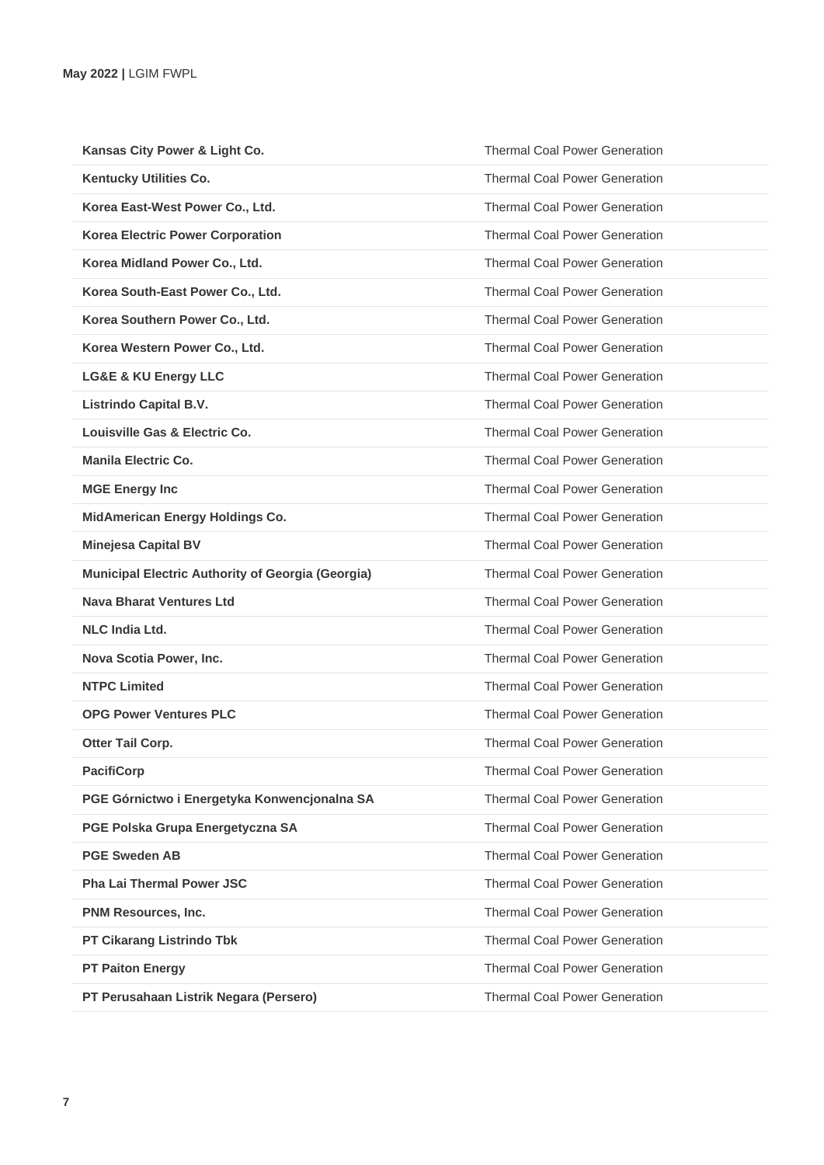| Kansas City Power & Light Co.                            | <b>Thermal Coal Power Generation</b> |
|----------------------------------------------------------|--------------------------------------|
| <b>Kentucky Utilities Co.</b>                            | <b>Thermal Coal Power Generation</b> |
| Korea East-West Power Co., Ltd.                          | <b>Thermal Coal Power Generation</b> |
| <b>Korea Electric Power Corporation</b>                  | <b>Thermal Coal Power Generation</b> |
| Korea Midland Power Co., Ltd.                            | <b>Thermal Coal Power Generation</b> |
| Korea South-East Power Co., Ltd.                         | <b>Thermal Coal Power Generation</b> |
| Korea Southern Power Co., Ltd.                           | <b>Thermal Coal Power Generation</b> |
| Korea Western Power Co., Ltd.                            | <b>Thermal Coal Power Generation</b> |
| <b>LG&amp;E &amp; KU Energy LLC</b>                      | <b>Thermal Coal Power Generation</b> |
| <b>Listrindo Capital B.V.</b>                            | <b>Thermal Coal Power Generation</b> |
| Louisville Gas & Electric Co.                            | <b>Thermal Coal Power Generation</b> |
| <b>Manila Electric Co.</b>                               | <b>Thermal Coal Power Generation</b> |
| <b>MGE Energy Inc</b>                                    | <b>Thermal Coal Power Generation</b> |
| <b>MidAmerican Energy Holdings Co.</b>                   | <b>Thermal Coal Power Generation</b> |
| <b>Minejesa Capital BV</b>                               | <b>Thermal Coal Power Generation</b> |
| <b>Municipal Electric Authority of Georgia (Georgia)</b> | <b>Thermal Coal Power Generation</b> |
| Nava Bharat Ventures Ltd                                 | <b>Thermal Coal Power Generation</b> |
| <b>NLC India Ltd.</b>                                    | <b>Thermal Coal Power Generation</b> |
| Nova Scotia Power, Inc.                                  | <b>Thermal Coal Power Generation</b> |
| <b>NTPC Limited</b>                                      | <b>Thermal Coal Power Generation</b> |
| <b>OPG Power Ventures PLC</b>                            | <b>Thermal Coal Power Generation</b> |
| Otter Tail Corp.                                         | <b>Thermal Coal Power Generation</b> |
| <b>PacifiCorp</b>                                        | <b>Thermal Coal Power Generation</b> |
| PGE Górnictwo i Energetyka Konwencjonalna SA             | <b>Thermal Coal Power Generation</b> |
| PGE Polska Grupa Energetyczna SA                         | <b>Thermal Coal Power Generation</b> |
| <b>PGE Sweden AB</b>                                     | <b>Thermal Coal Power Generation</b> |
| <b>Pha Lai Thermal Power JSC</b>                         | <b>Thermal Coal Power Generation</b> |
| PNM Resources, Inc.                                      | <b>Thermal Coal Power Generation</b> |
| <b>PT Cikarang Listrindo Tbk</b>                         | <b>Thermal Coal Power Generation</b> |
| <b>PT Paiton Energy</b>                                  | <b>Thermal Coal Power Generation</b> |
| PT Perusahaan Listrik Negara (Persero)                   | <b>Thermal Coal Power Generation</b> |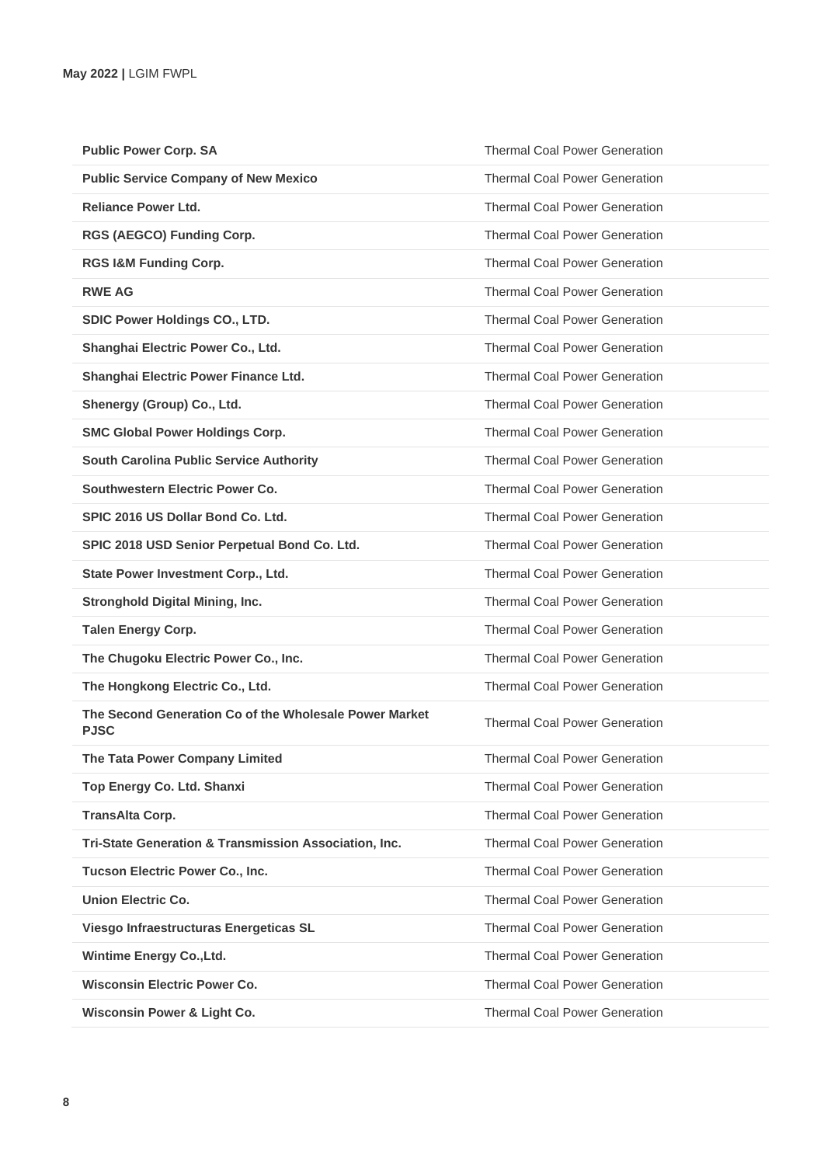| <b>Public Power Corp. SA</b>                                          | <b>Thermal Coal Power Generation</b> |
|-----------------------------------------------------------------------|--------------------------------------|
| <b>Public Service Company of New Mexico</b>                           | <b>Thermal Coal Power Generation</b> |
| <b>Reliance Power Ltd.</b>                                            | <b>Thermal Coal Power Generation</b> |
| RGS (AEGCO) Funding Corp.                                             | <b>Thermal Coal Power Generation</b> |
| RGS I&M Funding Corp.                                                 | <b>Thermal Coal Power Generation</b> |
| <b>RWE AG</b>                                                         | <b>Thermal Coal Power Generation</b> |
| SDIC Power Holdings CO., LTD.                                         | <b>Thermal Coal Power Generation</b> |
| Shanghai Electric Power Co., Ltd.                                     | <b>Thermal Coal Power Generation</b> |
| Shanghai Electric Power Finance Ltd.                                  | <b>Thermal Coal Power Generation</b> |
| Shenergy (Group) Co., Ltd.                                            | <b>Thermal Coal Power Generation</b> |
| <b>SMC Global Power Holdings Corp.</b>                                | <b>Thermal Coal Power Generation</b> |
| <b>South Carolina Public Service Authority</b>                        | <b>Thermal Coal Power Generation</b> |
| Southwestern Electric Power Co.                                       | <b>Thermal Coal Power Generation</b> |
| SPIC 2016 US Dollar Bond Co. Ltd.                                     | <b>Thermal Coal Power Generation</b> |
| SPIC 2018 USD Senior Perpetual Bond Co. Ltd.                          | <b>Thermal Coal Power Generation</b> |
| State Power Investment Corp., Ltd.                                    | <b>Thermal Coal Power Generation</b> |
| <b>Stronghold Digital Mining, Inc.</b>                                | <b>Thermal Coal Power Generation</b> |
| <b>Talen Energy Corp.</b>                                             | <b>Thermal Coal Power Generation</b> |
| The Chugoku Electric Power Co., Inc.                                  | <b>Thermal Coal Power Generation</b> |
| The Hongkong Electric Co., Ltd.                                       | <b>Thermal Coal Power Generation</b> |
| The Second Generation Co of the Wholesale Power Market<br><b>PJSC</b> | <b>Thermal Coal Power Generation</b> |
| The Tata Power Company Limited                                        | <b>Thermal Coal Power Generation</b> |
| Top Energy Co. Ltd. Shanxi                                            | <b>Thermal Coal Power Generation</b> |
| <b>TransAlta Corp.</b>                                                | <b>Thermal Coal Power Generation</b> |
| Tri-State Generation & Transmission Association, Inc.                 | <b>Thermal Coal Power Generation</b> |
| Tucson Electric Power Co., Inc.                                       | <b>Thermal Coal Power Generation</b> |
| <b>Union Electric Co.</b>                                             | <b>Thermal Coal Power Generation</b> |
| Viesgo Infraestructuras Energeticas SL                                | <b>Thermal Coal Power Generation</b> |
| Wintime Energy Co., Ltd.                                              | <b>Thermal Coal Power Generation</b> |
| <b>Wisconsin Electric Power Co.</b>                                   | <b>Thermal Coal Power Generation</b> |
| Wisconsin Power & Light Co.                                           | <b>Thermal Coal Power Generation</b> |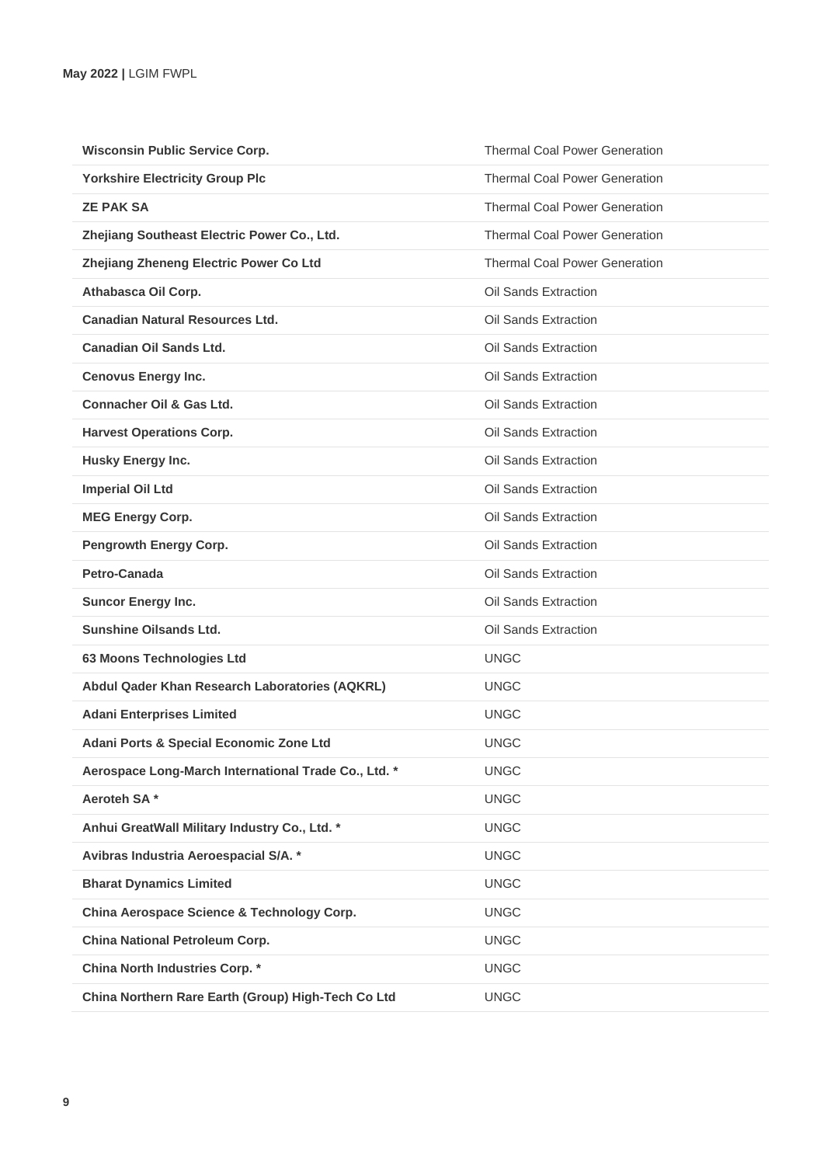| <b>Wisconsin Public Service Corp.</b>                | <b>Thermal Coal Power Generation</b> |
|------------------------------------------------------|--------------------------------------|
| <b>Yorkshire Electricity Group Plc</b>               | <b>Thermal Coal Power Generation</b> |
| <b>ZE PAK SA</b>                                     | <b>Thermal Coal Power Generation</b> |
| Zhejiang Southeast Electric Power Co., Ltd.          | <b>Thermal Coal Power Generation</b> |
| Zhejiang Zheneng Electric Power Co Ltd               | <b>Thermal Coal Power Generation</b> |
| Athabasca Oil Corp.                                  | Oil Sands Extraction                 |
| <b>Canadian Natural Resources Ltd.</b>               | Oil Sands Extraction                 |
| Canadian Oil Sands Ltd.                              | Oil Sands Extraction                 |
| <b>Cenovus Energy Inc.</b>                           | Oil Sands Extraction                 |
| Connacher Oil & Gas Ltd.                             | Oil Sands Extraction                 |
| <b>Harvest Operations Corp.</b>                      | Oil Sands Extraction                 |
| Husky Energy Inc.                                    | Oil Sands Extraction                 |
| <b>Imperial Oil Ltd</b>                              | Oil Sands Extraction                 |
| <b>MEG Energy Corp.</b>                              | Oil Sands Extraction                 |
| <b>Pengrowth Energy Corp.</b>                        | Oil Sands Extraction                 |
| Petro-Canada                                         | Oil Sands Extraction                 |
| <b>Suncor Energy Inc.</b>                            | Oil Sands Extraction                 |
| <b>Sunshine Oilsands Ltd.</b>                        | Oil Sands Extraction                 |
| 63 Moons Technologies Ltd                            | <b>UNGC</b>                          |
| Abdul Qader Khan Research Laboratories (AQKRL)       | <b>UNGC</b>                          |
| <b>Adani Enterprises Limited</b>                     | <b>UNGC</b>                          |
| Adani Ports & Special Economic Zone Ltd              | <b>UNGC</b>                          |
| Aerospace Long-March International Trade Co., Ltd. * | <b>UNGC</b>                          |
| Aeroteh SA*                                          | <b>UNGC</b>                          |
| Anhui GreatWall Military Industry Co., Ltd. *        | <b>UNGC</b>                          |
| Avibras Industria Aeroespacial S/A. *                | <b>UNGC</b>                          |
| <b>Bharat Dynamics Limited</b>                       | <b>UNGC</b>                          |
| China Aerospace Science & Technology Corp.           | <b>UNGC</b>                          |
| China National Petroleum Corp.                       | <b>UNGC</b>                          |
| <b>China North Industries Corp. *</b>                | <b>UNGC</b>                          |
| China Northern Rare Earth (Group) High-Tech Co Ltd   | <b>UNGC</b>                          |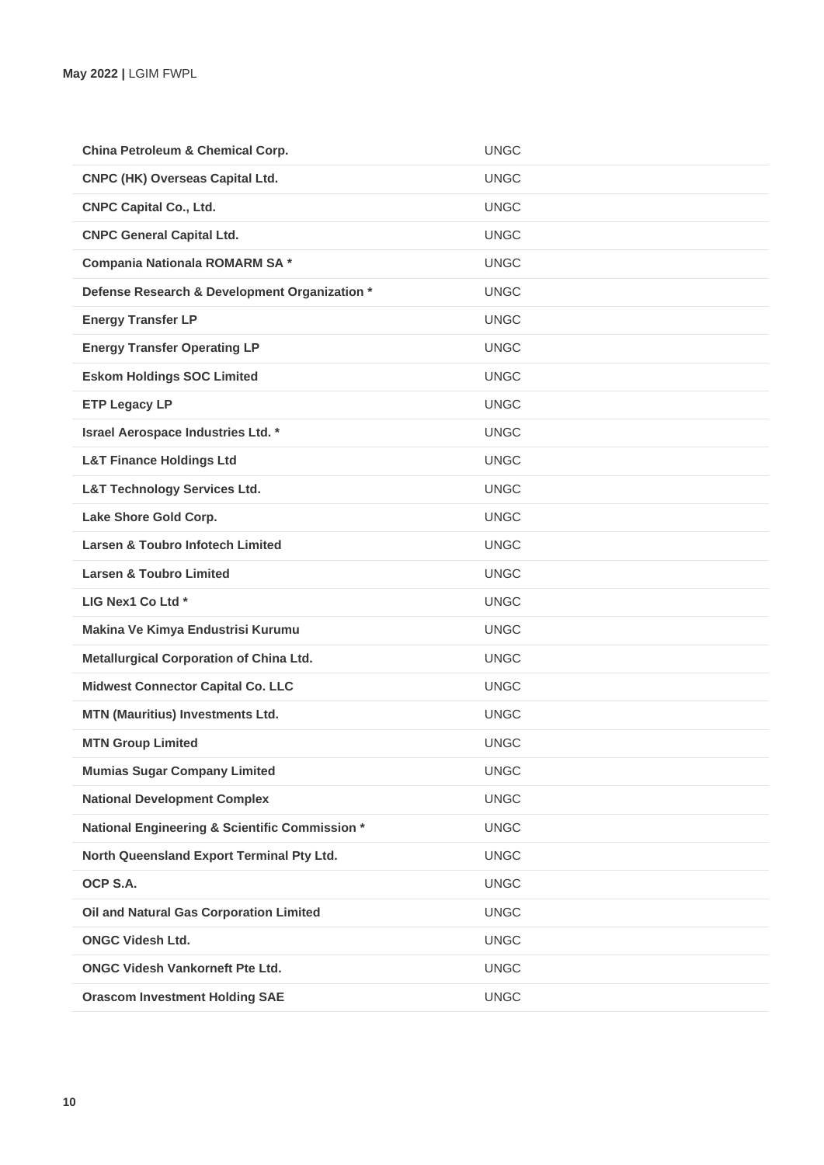| China Petroleum & Chemical Corp.               | <b>UNGC</b> |
|------------------------------------------------|-------------|
| CNPC (HK) Overseas Capital Ltd.                | <b>UNGC</b> |
| <b>CNPC Capital Co., Ltd.</b>                  | <b>UNGC</b> |
| <b>CNPC General Capital Ltd.</b>               | <b>UNGC</b> |
| Compania Nationala ROMARM SA*                  | <b>UNGC</b> |
| Defense Research & Development Organization *  | <b>UNGC</b> |
| <b>Energy Transfer LP</b>                      | <b>UNGC</b> |
| <b>Energy Transfer Operating LP</b>            | <b>UNGC</b> |
| <b>Eskom Holdings SOC Limited</b>              | <b>UNGC</b> |
| <b>ETP Legacy LP</b>                           | <b>UNGC</b> |
| Israel Aerospace Industries Ltd. *             | <b>UNGC</b> |
| <b>L&amp;T Finance Holdings Ltd</b>            | <b>UNGC</b> |
| <b>L&amp;T Technology Services Ltd.</b>        | <b>UNGC</b> |
| Lake Shore Gold Corp.                          | <b>UNGC</b> |
| <b>Larsen &amp; Toubro Infotech Limited</b>    | <b>UNGC</b> |
| <b>Larsen &amp; Toubro Limited</b>             | <b>UNGC</b> |
| LIG Nex1 Co Ltd *                              | <b>UNGC</b> |
| Makina Ve Kimya Endustrisi Kurumu              | <b>UNGC</b> |
| Metallurgical Corporation of China Ltd.        | <b>UNGC</b> |
| <b>Midwest Connector Capital Co. LLC</b>       | <b>UNGC</b> |
| <b>MTN (Mauritius) Investments Ltd.</b>        | <b>UNGC</b> |
| <b>MTN Group Limited</b>                       | <b>UNGC</b> |
| <b>Mumias Sugar Company Limited</b>            | <b>UNGC</b> |
| <b>National Development Complex</b>            | <b>UNGC</b> |
| National Engineering & Scientific Commission * | <b>UNGC</b> |
| North Queensland Export Terminal Pty Ltd.      | <b>UNGC</b> |
| OCP S.A.                                       | <b>UNGC</b> |
| <b>Oil and Natural Gas Corporation Limited</b> | <b>UNGC</b> |
| <b>ONGC Videsh Ltd.</b>                        | <b>UNGC</b> |
| <b>ONGC Videsh Vankorneft Pte Ltd.</b>         | <b>UNGC</b> |
| <b>Orascom Investment Holding SAE</b>          | <b>UNGC</b> |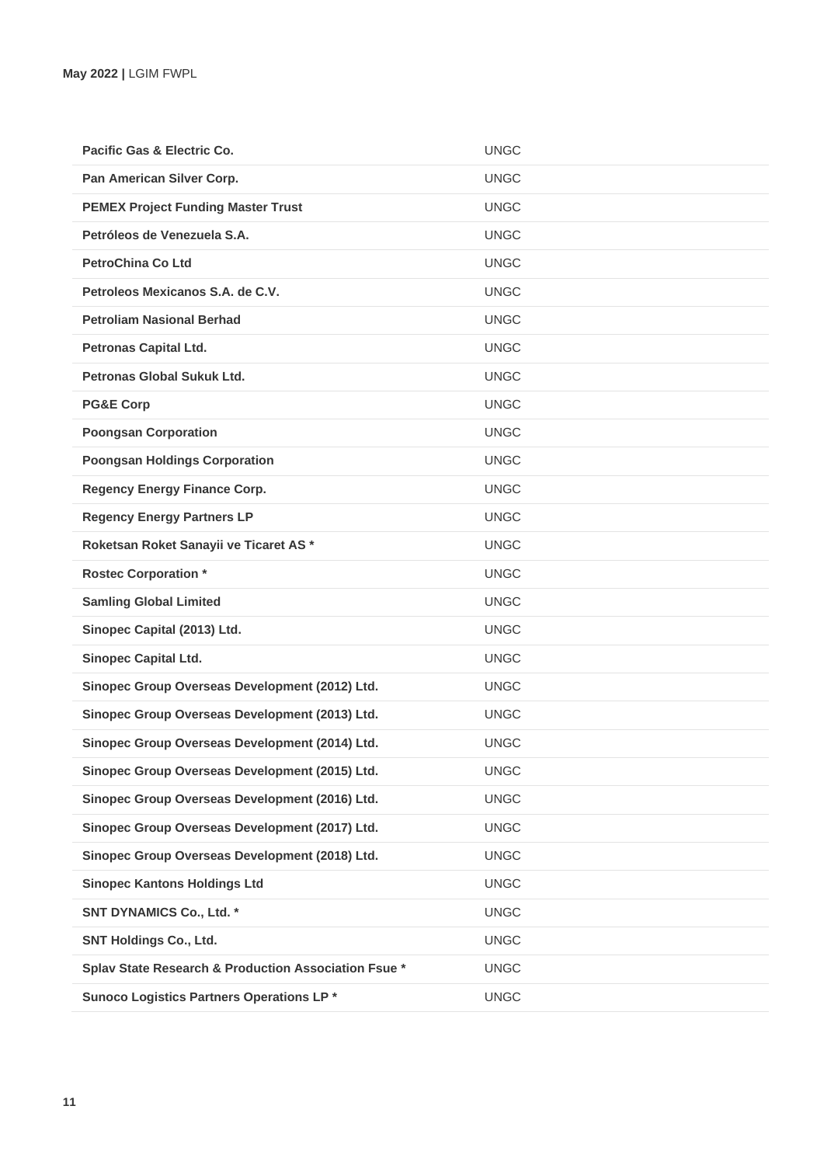| Pacific Gas & Electric Co.                           | <b>UNGC</b> |
|------------------------------------------------------|-------------|
| Pan American Silver Corp.                            | <b>UNGC</b> |
| <b>PEMEX Project Funding Master Trust</b>            | <b>UNGC</b> |
| Petróleos de Venezuela S.A.                          | <b>UNGC</b> |
| <b>PetroChina Co Ltd</b>                             | <b>UNGC</b> |
| Petroleos Mexicanos S.A. de C.V.                     | <b>UNGC</b> |
| <b>Petroliam Nasional Berhad</b>                     | <b>UNGC</b> |
| <b>Petronas Capital Ltd.</b>                         | <b>UNGC</b> |
| Petronas Global Sukuk Ltd.                           | <b>UNGC</b> |
| <b>PG&amp;E Corp</b>                                 | <b>UNGC</b> |
| <b>Poongsan Corporation</b>                          | <b>UNGC</b> |
| <b>Poongsan Holdings Corporation</b>                 | <b>UNGC</b> |
| <b>Regency Energy Finance Corp.</b>                  | <b>UNGC</b> |
| <b>Regency Energy Partners LP</b>                    | <b>UNGC</b> |
| Roketsan Roket Sanayii ve Ticaret AS*                | <b>UNGC</b> |
| <b>Rostec Corporation *</b>                          | <b>UNGC</b> |
| <b>Samling Global Limited</b>                        | <b>UNGC</b> |
| Sinopec Capital (2013) Ltd.                          | <b>UNGC</b> |
| <b>Sinopec Capital Ltd.</b>                          | <b>UNGC</b> |
| Sinopec Group Overseas Development (2012) Ltd.       | <b>UNGC</b> |
| Sinopec Group Overseas Development (2013) Ltd.       | <b>UNGC</b> |
| Sinopec Group Overseas Development (2014) Ltd.       | <b>UNGC</b> |
| Sinopec Group Overseas Development (2015) Ltd.       | <b>UNGC</b> |
| Sinopec Group Overseas Development (2016) Ltd.       | <b>UNGC</b> |
| Sinopec Group Overseas Development (2017) Ltd.       | <b>UNGC</b> |
| Sinopec Group Overseas Development (2018) Ltd.       | <b>UNGC</b> |
| <b>Sinopec Kantons Holdings Ltd</b>                  | <b>UNGC</b> |
| <b>SNT DYNAMICS Co., Ltd. *</b>                      | <b>UNGC</b> |
| <b>SNT Holdings Co., Ltd.</b>                        | <b>UNGC</b> |
| Splav State Research & Production Association Fsue * | <b>UNGC</b> |
| Sunoco Logistics Partners Operations LP*             | <b>UNGC</b> |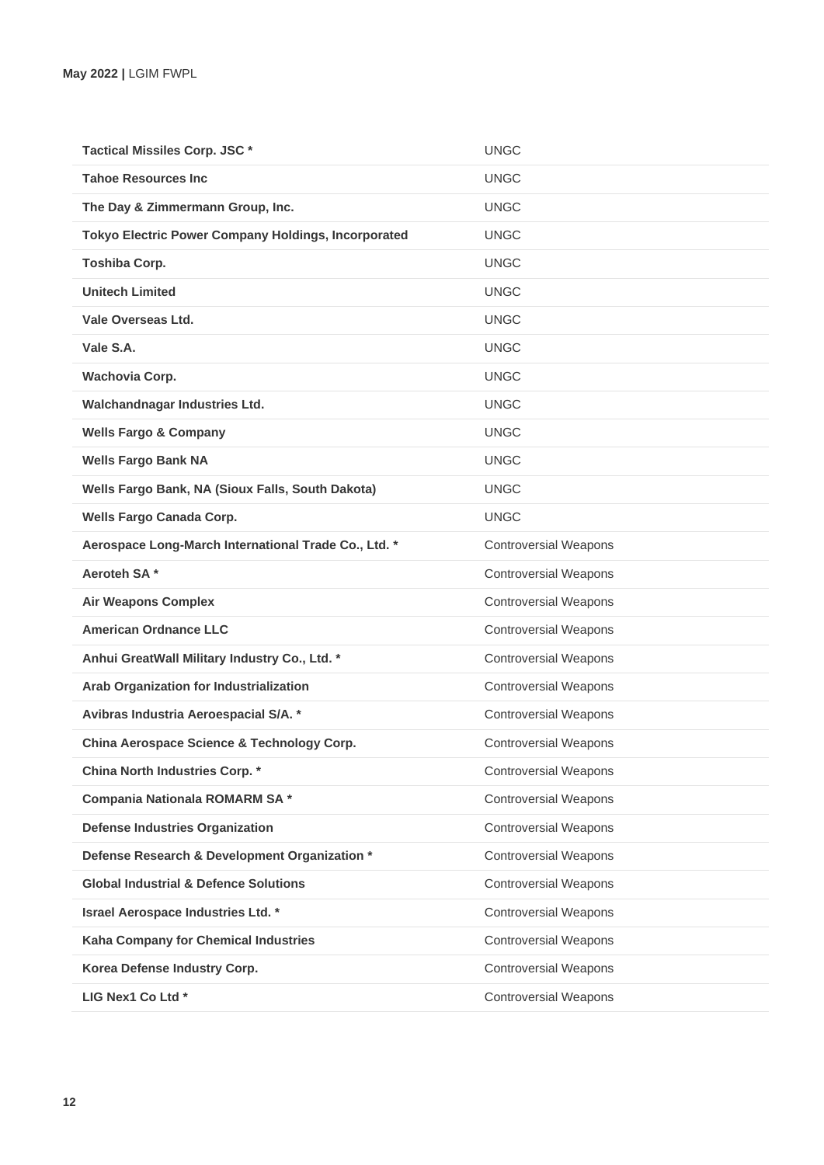| Tactical Missiles Corp. JSC *                              | <b>UNGC</b>                  |
|------------------------------------------------------------|------------------------------|
| <b>Tahoe Resources Inc.</b>                                | <b>UNGC</b>                  |
| The Day & Zimmermann Group, Inc.                           | <b>UNGC</b>                  |
| <b>Tokyo Electric Power Company Holdings, Incorporated</b> | <b>UNGC</b>                  |
| <b>Toshiba Corp.</b>                                       | <b>UNGC</b>                  |
| <b>Unitech Limited</b>                                     | <b>UNGC</b>                  |
| Vale Overseas Ltd.                                         | <b>UNGC</b>                  |
| Vale S.A.                                                  | <b>UNGC</b>                  |
| <b>Wachovia Corp.</b>                                      | <b>UNGC</b>                  |
| Walchandnagar Industries Ltd.                              | <b>UNGC</b>                  |
| <b>Wells Fargo &amp; Company</b>                           | <b>UNGC</b>                  |
| <b>Wells Fargo Bank NA</b>                                 | <b>UNGC</b>                  |
| Wells Fargo Bank, NA (Sioux Falls, South Dakota)           | <b>UNGC</b>                  |
| <b>Wells Fargo Canada Corp.</b>                            | <b>UNGC</b>                  |
| Aerospace Long-March International Trade Co., Ltd. *       | <b>Controversial Weapons</b> |
| Aeroteh SA*                                                | <b>Controversial Weapons</b> |
| <b>Air Weapons Complex</b>                                 | <b>Controversial Weapons</b> |
| <b>American Ordnance LLC</b>                               | <b>Controversial Weapons</b> |
| Anhui GreatWall Military Industry Co., Ltd. *              | <b>Controversial Weapons</b> |
| Arab Organization for Industrialization                    | <b>Controversial Weapons</b> |
| Avibras Industria Aeroespacial S/A. *                      | <b>Controversial Weapons</b> |
| China Aerospace Science & Technology Corp.                 | <b>Controversial Weapons</b> |
| China North Industries Corp. *                             | <b>Controversial Weapons</b> |
| Compania Nationala ROMARM SA*                              | <b>Controversial Weapons</b> |
| <b>Defense Industries Organization</b>                     | <b>Controversial Weapons</b> |
| Defense Research & Development Organization *              | <b>Controversial Weapons</b> |
| <b>Global Industrial &amp; Defence Solutions</b>           | <b>Controversial Weapons</b> |
| Israel Aerospace Industries Ltd. *                         | <b>Controversial Weapons</b> |
| Kaha Company for Chemical Industries                       | <b>Controversial Weapons</b> |
| Korea Defense Industry Corp.                               | <b>Controversial Weapons</b> |
| LIG Nex1 Co Ltd *                                          | <b>Controversial Weapons</b> |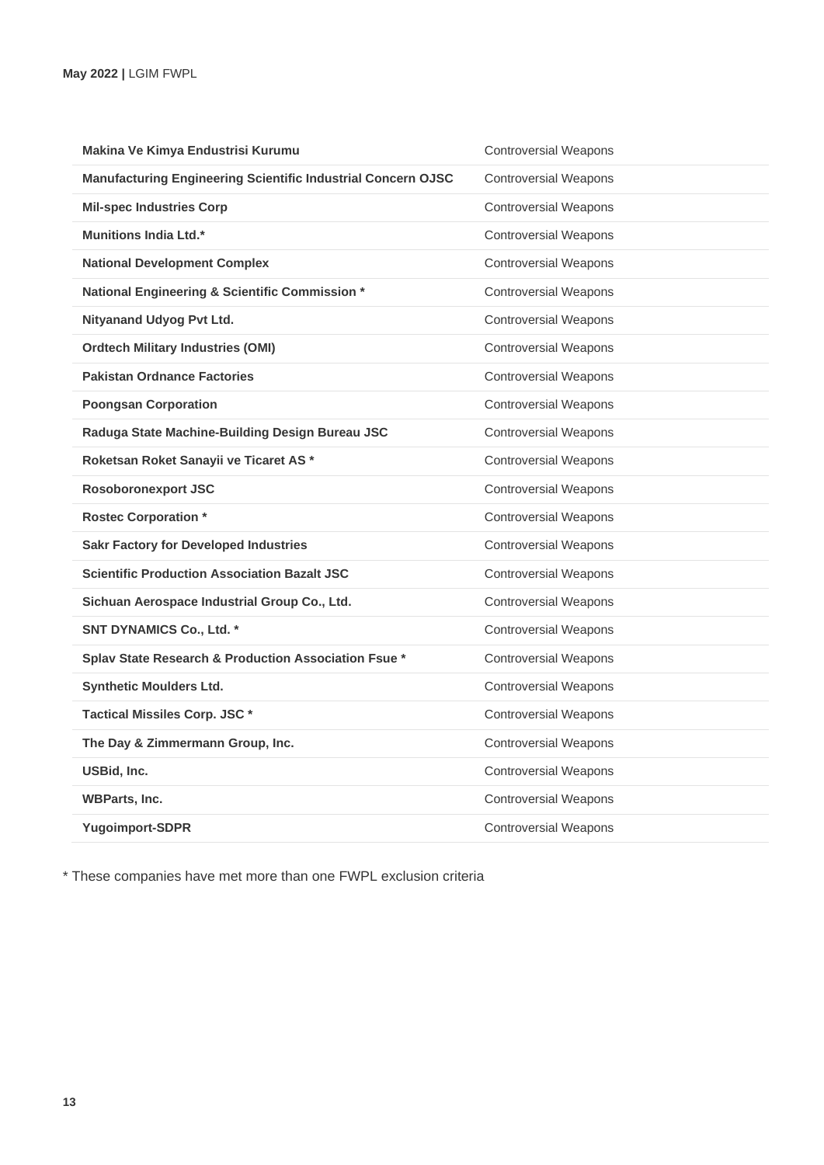| Makina Ve Kimya Endustrisi Kurumu                            | <b>Controversial Weapons</b> |
|--------------------------------------------------------------|------------------------------|
| Manufacturing Engineering Scientific Industrial Concern OJSC | <b>Controversial Weapons</b> |
| <b>Mil-spec Industries Corp</b>                              | <b>Controversial Weapons</b> |
| <b>Munitions India Ltd.*</b>                                 | <b>Controversial Weapons</b> |
| <b>National Development Complex</b>                          | <b>Controversial Weapons</b> |
| National Engineering & Scientific Commission *               | <b>Controversial Weapons</b> |
| Nityanand Udyog Pvt Ltd.                                     | <b>Controversial Weapons</b> |
| <b>Ordtech Military Industries (OMI)</b>                     | <b>Controversial Weapons</b> |
| <b>Pakistan Ordnance Factories</b>                           | <b>Controversial Weapons</b> |
| <b>Poongsan Corporation</b>                                  | <b>Controversial Weapons</b> |
| Raduga State Machine-Building Design Bureau JSC              | <b>Controversial Weapons</b> |
| Roketsan Roket Sanayii ve Ticaret AS *                       | <b>Controversial Weapons</b> |
| <b>Rosoboronexport JSC</b>                                   | <b>Controversial Weapons</b> |
| <b>Rostec Corporation *</b>                                  | <b>Controversial Weapons</b> |
| <b>Sakr Factory for Developed Industries</b>                 | <b>Controversial Weapons</b> |
| <b>Scientific Production Association Bazalt JSC</b>          | <b>Controversial Weapons</b> |
| Sichuan Aerospace Industrial Group Co., Ltd.                 | <b>Controversial Weapons</b> |
| <b>SNT DYNAMICS Co., Ltd. *</b>                              | <b>Controversial Weapons</b> |
| Splav State Research & Production Association Fsue *         | <b>Controversial Weapons</b> |
| <b>Synthetic Moulders Ltd.</b>                               | <b>Controversial Weapons</b> |
| <b>Tactical Missiles Corp. JSC*</b>                          | <b>Controversial Weapons</b> |
| The Day & Zimmermann Group, Inc.                             | <b>Controversial Weapons</b> |
| USBid, Inc.                                                  | <b>Controversial Weapons</b> |
| <b>WBParts, Inc.</b>                                         | <b>Controversial Weapons</b> |
| Yugoimport-SDPR                                              | <b>Controversial Weapons</b> |

\* These companies have met more than one FWPL exclusion criteria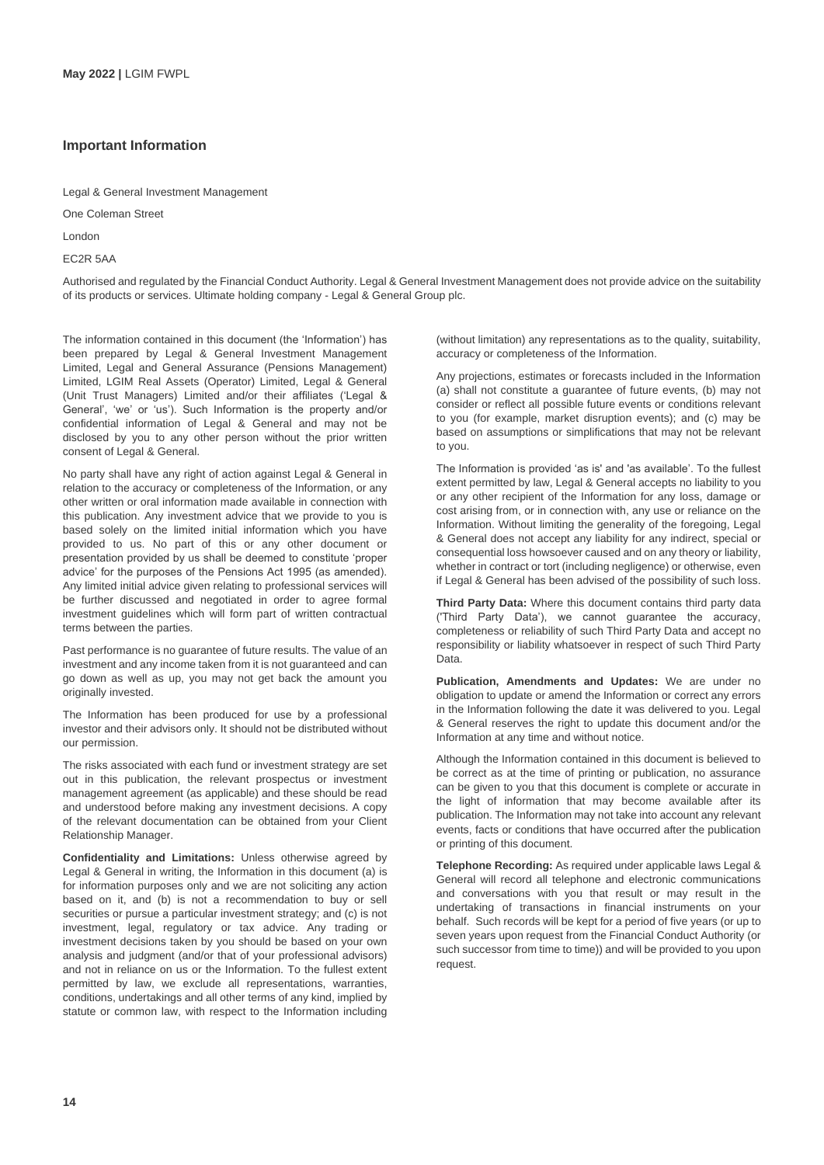## **Important Information**

## One Coleman Street

London

EC2R 5AA

Authorised and regulated by the Financial Conduct Authority. Legal & General Investment Management does not provide advice on the suitability of its products or services. Ultimate holding company - Legal & General Group plc.

The information contained in this document (the 'Information') has been prepared by Legal & General Investment Management Limited, Legal and General Assurance (Pensions Management) Limited, LGIM Real Assets (Operator) Limited, Legal & General (Unit Trust Managers) Limited and/or their affiliates ('Legal & General', 'we' or 'us'). Such Information is the property and/or confidential information of Legal & General and may not be disclosed by you to any other person without the prior written consent of Legal & General.

No party shall have any right of action against Legal & General in relation to the accuracy or completeness of the Information, or any other written or oral information made available in connection with this publication. Any investment advice that we provide to you is based solely on the limited initial information which you have provided to us. No part of this or any other document or presentation provided by us shall be deemed to constitute 'proper advice' for the purposes of the Pensions Act 1995 (as amended). Any limited initial advice given relating to professional services will be further discussed and negotiated in order to agree formal investment guidelines which will form part of written contractual terms between the parties.

Past performance is no guarantee of future results. The value of an investment and any income taken from it is not guaranteed and can go down as well as up, you may not get back the amount you originally invested.

The Information has been produced for use by a professional investor and their advisors only. It should not be distributed without our permission.

The risks associated with each fund or investment strategy are set out in this publication, the relevant prospectus or investment management agreement (as applicable) and these should be read and understood before making any investment decisions. A copy of the relevant documentation can be obtained from your Client Relationship Manager.

**Confidentiality and Limitations:** Unless otherwise agreed by Legal & General in writing, the Information in this document (a) is for information purposes only and we are not soliciting any action based on it, and (b) is not a recommendation to buy or sell securities or pursue a particular investment strategy; and (c) is not investment, legal, regulatory or tax advice. Any trading or investment decisions taken by you should be based on your own analysis and judgment (and/or that of your professional advisors) and not in reliance on us or the Information. To the fullest extent permitted by law, we exclude all representations, warranties, conditions, undertakings and all other terms of any kind, implied by statute or common law, with respect to the Information including

(without limitation) any representations as to the quality, suitability, accuracy or completeness of the Information.

Any projections, estimates or forecasts included in the Information (a) shall not constitute a guarantee of future events, (b) may not consider or reflect all possible future events or conditions relevant to you (for example, market disruption events); and (c) may be based on assumptions or simplifications that may not be relevant to you.

The Information is provided 'as is' and 'as available'. To the fullest extent permitted by law, Legal & General accepts no liability to you or any other recipient of the Information for any loss, damage or cost arising from, or in connection with, any use or reliance on the Information. Without limiting the generality of the foregoing. Legal & General does not accept any liability for any indirect, special or consequential loss howsoever caused and on any theory or liability, whether in contract or tort (including negligence) or otherwise, even if Legal & General has been advised of the possibility of such loss.

**Third Party Data:** Where this document contains third party data ('Third Party Data'), we cannot guarantee the accuracy, completeness or reliability of such Third Party Data and accept no responsibility or liability whatsoever in respect of such Third Party Data.

**Publication, Amendments and Updates:** We are under no obligation to update or amend the Information or correct any errors in the Information following the date it was delivered to you. Legal & General reserves the right to update this document and/or the Information at any time and without notice.

Although the Information contained in this document is believed to be correct as at the time of printing or publication, no assurance can be given to you that this document is complete or accurate in the light of information that may become available after its publication. The Information may not take into account any relevant events, facts or conditions that have occurred after the publication or printing of this document.

**Telephone Recording:** As required under applicable laws Legal & General will record all telephone and electronic communications and conversations with you that result or may result in the undertaking of transactions in financial instruments on your behalf. Such records will be kept for a period of five years (or up to seven years upon request from the Financial Conduct Authority (or such successor from time to time)) and will be provided to you upon request.